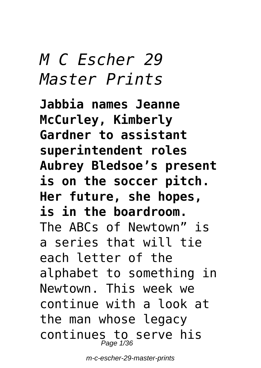# *M C Escher 29 Master Prints*

**Jabbia names Jeanne McCurley, Kimberly Gardner to assistant superintendent roles Aubrey Bledsoe's present is on the soccer pitch. Her future, she hopes, is in the boardroom.** The ABCs of Newtown" is a series that will tie each letter of the alphabet to something in Newtown. This week we continue with a look at the man whose legacy continues to serve his Page 1/36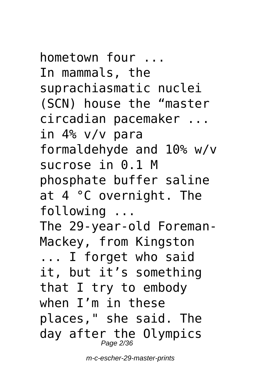hometown four ... In mammals, the suprachiasmatic nuclei (SCN) house the "master circadian pacemaker ... in 4% v/v para formaldehyde and 10% w/v sucrose in 0.1 M phosphate buffer saline at 4 °C overnight. The following ... The 29-year-old Foreman-Mackey, from Kingston ... I forget who said it, but it's something that I try to embody when I'm in these places," she said. The day after the Olympics

Page 2/36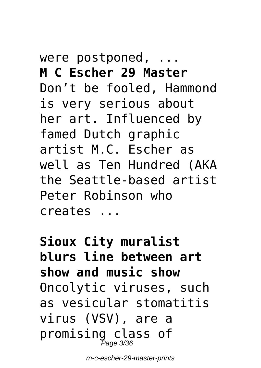#### were postponed, ... **M C Escher 29 Master** Don't be fooled, Hammond is very serious about her art. Influenced by famed Dutch graphic artist M.C. Escher as well as Ten Hundred (AKA the Seattle-based artist Peter Robinson who creates ...

**Sioux City muralist blurs line between art show and music show** Oncolytic viruses, such as vesicular stomatitis virus (VSV), are a promising class of Page 3/36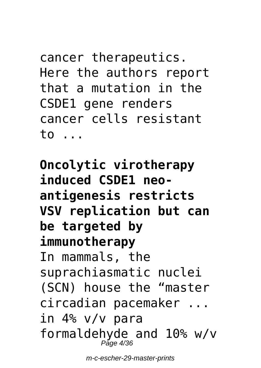cancer therapeutics. Here the authors report that a mutation in the CSDE1 gene renders cancer cells resistant to ...

**Oncolytic virotherapy induced CSDE1 neoantigenesis restricts VSV replication but can be targeted by immunotherapy** In mammals, the suprachiasmatic nuclei (SCN) house the "master circadian pacemaker ... in 4% v/v para formaldehyde and 10% w/v Page 4/36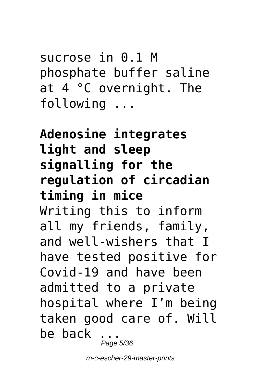sucrose in 0.1 M phosphate buffer saline at 4 °C overnight. The following ...

**Adenosine integrates light and sleep signalling for the regulation of circadian timing in mice** Writing this to inform all my friends, family, and well-wishers that I have tested positive for Covid-19 and have been admitted to a private hospital where I'm being taken good care of. Will be back ... Page 5/36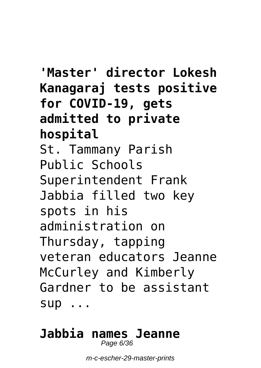**'Master' director Lokesh Kanagaraj tests positive for COVID-19, gets admitted to private hospital** St. Tammany Parish Public Schools Superintendent Frank Jabbia filled two key spots in his administration on Thursday, tapping veteran educators Jeanne McCurley and Kimberly Gardner to be assistant sup ...

#### **Jabbia names Jeanne** Page 6/36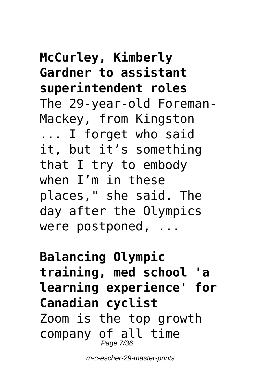#### **McCurley, Kimberly Gardner to assistant superintendent roles** The 29-year-old Foreman-Mackey, from Kingston ... I forget who said it, but it's something that I try to embody when I'm in these places," she said. The day after the Olympics were postponed, ...

**Balancing Olympic training, med school 'a learning experience' for Canadian cyclist** Zoom is the top growth company of all time Page 7/36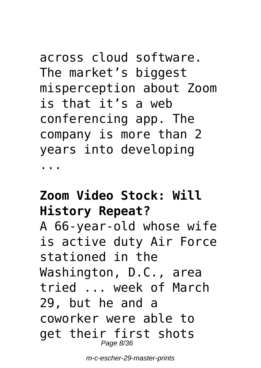across cloud software. The market's biggest misperception about Zoom is that it's a web conferencing app. The company is more than 2 years into developing ...

#### **Zoom Video Stock: Will History Repeat?**

A 66-year-old whose wife is active duty Air Force stationed in the Washington, D.C., area tried ... week of March 29, but he and a coworker were able to get their first shots Page 8/36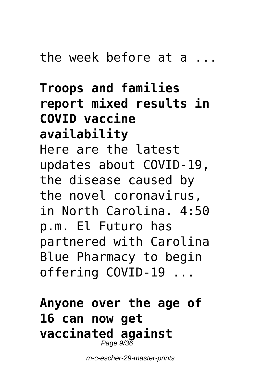**Troops and families report mixed results in COVID vaccine availability** Here are the latest updates about COVID-19, the disease caused by the novel coronavirus, in North Carolina. 4:50 p.m. El Futuro has partnered with Carolina Blue Pharmacy to begin offering COVID-19 ...

**Anyone over the age of 16 can now get vaccinated against** Page 9/36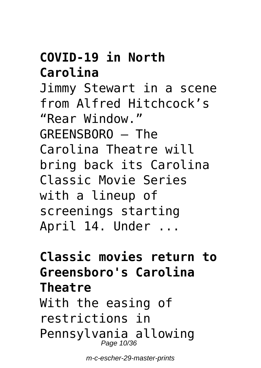#### **COVID-19 in North Carolina**

Jimmy Stewart in a scene from Alfred Hitchcock's "Rear Window." GREENSBORO — The Carolina Theatre will bring back its Carolina Classic Movie Series with a lineup of screenings starting April 14. Under ...

## **Classic movies return to Greensboro's Carolina Theatre**

With the easing of restrictions in Pennsylvania allowing Page 10/36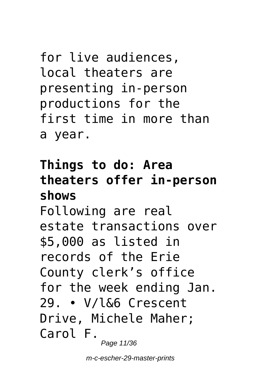```
for live audiences,
local theaters are
presenting in-person
productions for the
first time in more than
a year.
```
## **Things to do: Area theaters offer in-person shows**

Following are real estate transactions over \$5,000 as listed in records of the Erie County clerk's office for the week ending Jan. 29. • V/l&6 Crescent Drive, Michele Maher; Carol F.

Page 11/36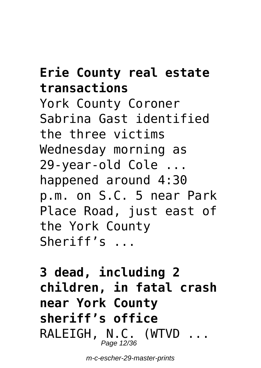#### **Erie County real estate transactions**

York County Coroner Sabrina Gast identified the three victims Wednesday morning as 29-year-old Cole ... happened around 4:30 p.m. on S.C. 5 near Park Place Road, just east of the York County Sheriff's ...

**3 dead, including 2 children, in fatal crash near York County sheriff's office** RALEIGH, N.C. (WTVD ... Page 12/36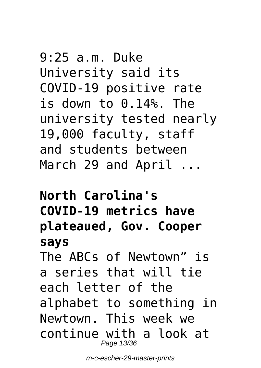9:25 a.m. Duke University said its COVID-19 positive rate is down to 0.14%. The university tested nearly 19,000 faculty, staff and students between March 29 and April ...

**North Carolina's COVID-19 metrics have plateaued, Gov. Cooper says** The ABCs of Newtown" is a series that will tie each letter of the alphabet to something in Newtown. This week we continue with a look at Page 13/36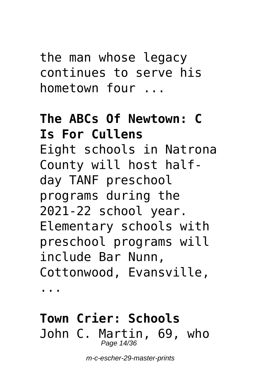the man whose legacy continues to serve his hometown four ...

## **The ABCs Of Newtown: C Is For Cullens** Eight schools in Natrona County will host halfday TANF preschool programs during the 2021-22 school year. Elementary schools with preschool programs will include Bar Nunn, Cottonwood, Evansville,

...

#### **Town Crier: Schools** John C. Martin, 69, who Page 14/36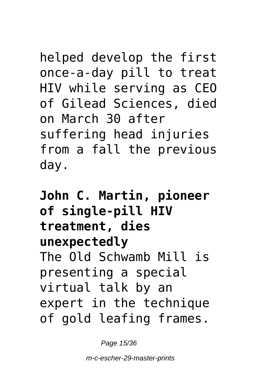helped develop the first once-a-day pill to treat HIV while serving as CEO of Gilead Sciences, died on March 30 after suffering head injuries from a fall the previous day.

**John C. Martin, pioneer of single-pill HIV treatment, dies unexpectedly** The Old Schwamb Mill is presenting a special virtual talk by an expert in the technique of gold leafing frames.

Page 15/36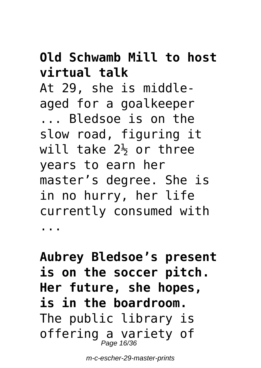#### **Old Schwamb Mill to host virtual talk**

At 29, she is middleaged for a goalkeeper

... Bledsoe is on the slow road, figuring it will take  $2\frac{1}{2}$  or three years to earn her master's degree. She is in no hurry, her life currently consumed with ...

**Aubrey Bledsoe's present is on the soccer pitch. Her future, she hopes, is in the boardroom.** The public library is offering a variety of<br><sub>*Page 16/36*</sub>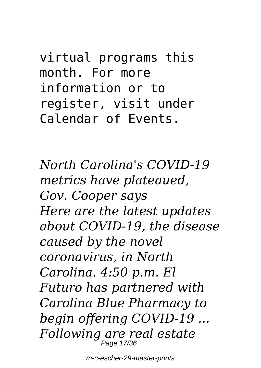virtual programs this month. For more information or to register, visit under Calendar of Events.

*North Carolina's COVID-19 metrics have plateaued, Gov. Cooper says Here are the latest updates about COVID-19, the disease caused by the novel coronavirus, in North Carolina. 4:50 p.m. El Futuro has partnered with Carolina Blue Pharmacy to begin offering COVID-19 ... Following are real estate* Page 17/36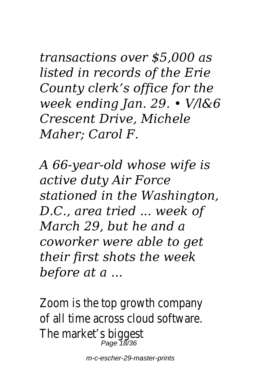*transactions over \$5,000 as listed in records of the Erie County clerk's office for the week ending Jan. 29. • V/l&6 Crescent Drive, Michele Maher; Carol F.*

*A 66-year-old whose wife is active duty Air Force stationed in the Washington, D.C., area tried ... week of March 29, but he and a coworker were able to get their first shots the week before at a ...*

Zoom is the top growth company of all time across cloud software. The market's biggest Page 18/36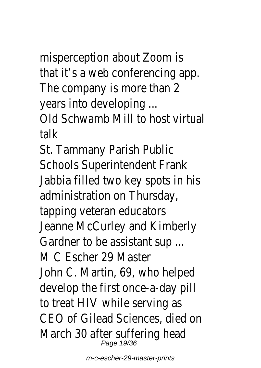misperception about Zoom is that it's a web conferencing app. The company is more than 2 years into developing ...

Old Schwamb Mill to host virtual talk

St. Tammany Parish Public Schools Superintendent Frank Jabbia filled two key spots in his administration on Thursday, tapping veteran educators Jeanne McCurley and Kimberly Gardner to be assistant sup ... M C Escher 29 Master John C. Martin, 69, who helped develop the first once-a-day pill to treat HIV while serving as CEO of Gilead Sciences, died on March 30 after suffering head Page 19/36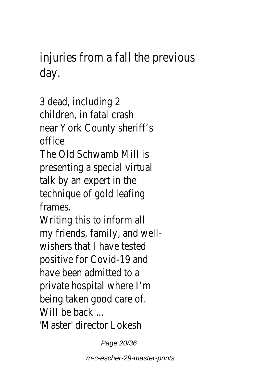injuries from a fall the previous day.

3 dead, including 2 children, in fatal crash near York County sheriff's office

The Old Schwamb Mill is presenting a special virtual talk by an expert in the technique of gold leafing frames.

Writing this to inform all my friends, family, and wellwishers that I have tested positive for Covid-19 and have been admitted to a private hospital where I'm being taken good care of. Will be back ... 'Master' director Lokesh

Page 20/36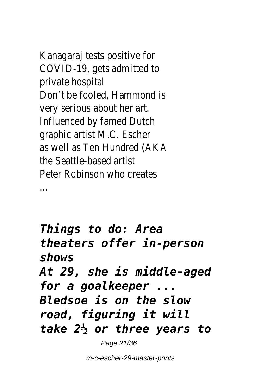Kanagaraj tests positive for COVID-19, gets admitted to private hospital Don't be fooled, Hammond is very serious about her art. Influenced by famed Dutch graphic artist M.C. Escher as well as Ten Hundred (AKA the Seattle-based artist Peter Robinson who creates

...

*Things to do: Area theaters offer in-person shows At 29, she is middle-aged for a goalkeeper ... Bledsoe is on the slow road, figuring it will take 2½ or three years to*

Page 21/36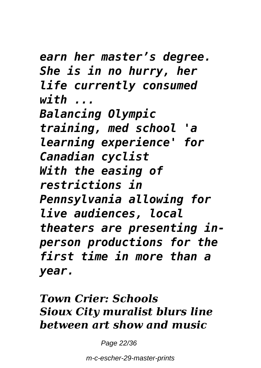*earn her master's degree. She is in no hurry, her life currently consumed with ... Balancing Olympic training, med school 'a learning experience' for Canadian cyclist With the easing of restrictions in Pennsylvania allowing for live audiences, local theaters are presenting inperson productions for the first time in more than a year.*

#### *Town Crier: Schools Sioux City muralist blurs line between art show and music*

Page 22/36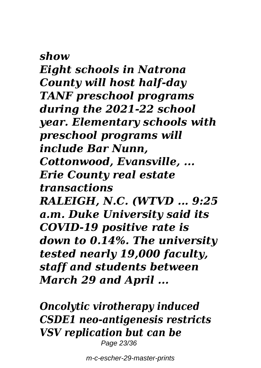*show Eight schools in Natrona County will host half-day TANF preschool programs during the 2021-22 school year. Elementary schools with preschool programs will include Bar Nunn, Cottonwood, Evansville, ... Erie County real estate transactions RALEIGH, N.C. (WTVD ... 9:25 a.m. Duke University said its COVID-19 positive rate is down to 0.14%. The university tested nearly 19,000 faculty, staff and students between March 29 and April ...*

*Oncolytic virotherapy induced CSDE1 neo-antigenesis restricts VSV replication but can be* Page 23/36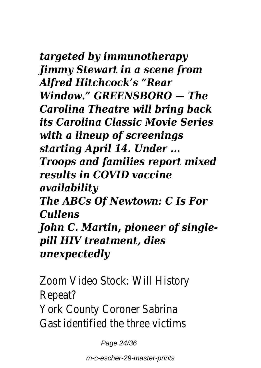*targeted by immunotherapy Jimmy Stewart in a scene from Alfred Hitchcock's "Rear Window." GREENSBORO — The Carolina Theatre will bring back its Carolina Classic Movie Series with a lineup of screenings starting April 14. Under ... Troops and families report mixed results in COVID vaccine availability The ABCs Of Newtown: C Is For Cullens John C. Martin, pioneer of singlepill HIV treatment, dies unexpectedly*

Zoom Video Stock: Will History Repeat? York County Coroner Sabrina Gast identified the three victims

Page 24/36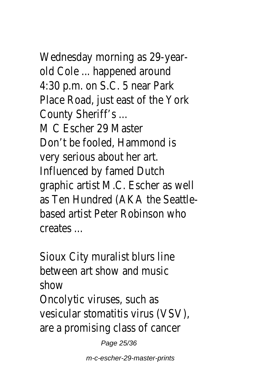Wednesday morning as 29-yearold Cole ... happened around 4:30 p.m. on S.C. 5 near Park Place Road, just east of the York County Sheriff's ... M C Escher 29 Master Don't be fooled, Hammond is very serious about her art. Influenced by famed Dutch graphic artist M.C. Escher as well as Ten Hundred (AKA the Seattlebased artist Peter Robinson who creates ...

Sioux City muralist blurs line between art show and music show Oncolytic viruses, such as

vesicular stomatitis virus (VSV), are a promising class of cancer

Page 25/36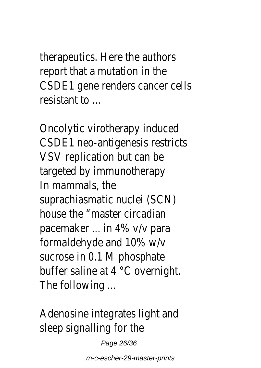therapeutics. Here the authors report that a mutation in the CSDE1 gene renders cancer cells resistant to ...

Oncolytic virotherapy induced CSDE1 neo-antigenesis restricts VSV replication but can be targeted by immunotherapy In mammals, the suprachiasmatic nuclei (SCN) house the "master circadian pacemaker ... in 4% v/v para formaldehyde and 10% w/v sucrose in 0.1 M phosphate buffer saline at 4 °C overnight. The following ...

Adenosine integrates light and sleep signalling for the

Page 26/36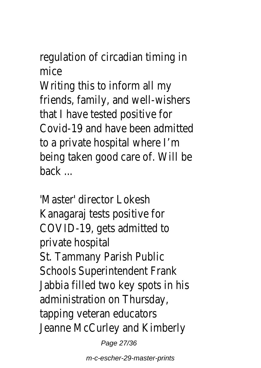regulation of circadian timing in mice

Writing this to inform all my friends, family, and well-wishers that I have tested positive for Covid-19 and have been admitted to a private hospital where I'm being taken good care of. Will be back ...

'Master' director Lokesh Kanagaraj tests positive for COVID-19, gets admitted to private hospital St. Tammany Parish Public Schools Superintendent Frank Jabbia filled two key spots in his administration on Thursday, tapping veteran educators Jeanne McCurley and Kimberly

Page 27/36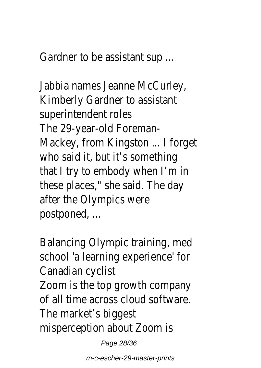Gardner to be assistant sup ...

Jabbia names Jeanne McCurley, Kimberly Gardner to assistant superintendent roles The 29-year-old Foreman-Mackey, from Kingston ... I forget who said it, but it's something that I try to embody when I'm in these places," she said. The day after the Olympics were postponed, ...

Balancing Olympic training, med school 'a learning experience' for Canadian cyclist Zoom is the top growth company of all time across cloud software. The market's biggest misperception about Zoom is

Page 28/36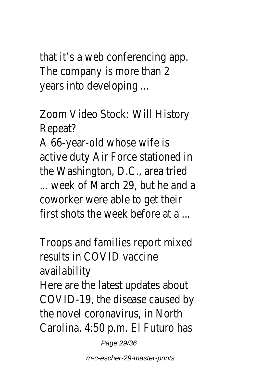that it's a web conferencing app. The company is more than 2 years into developing ...

Zoom Video Stock: Will History Repeat?

A 66-year-old whose wife is active duty Air Force stationed in the Washington, D.C., area tried ... week of March 29, but he and a coworker were able to get their first shots the week before at a

Troops and families report mixed results in COVID vaccine availability Here are the latest updates about COVID-19, the disease caused by the novel coronavirus, in North Carolina. 4:50 p.m. El Futuro has

Page 29/36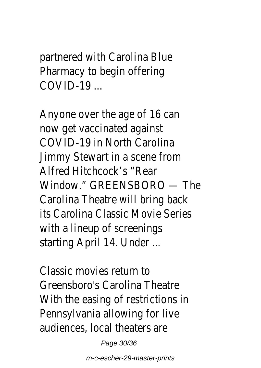partnered with Carolina Blue Pharmacy to begin offering  $COMID-19$   $\ldots$ 

Anyone over the age of 16 can now get vaccinated against COVID-19 in North Carolina Jimmy Stewart in a scene from Alfred Hitchcock's "Rear Window." GREENSBORO — The Carolina Theatre will bring back its Carolina Classic Movie Series with a lineup of screenings starting April 14. Under ...

Classic movies return to Greensboro's Carolina Theatre With the easing of restrictions in Pennsylvania allowing for live audiences, local theaters are

Page 30/36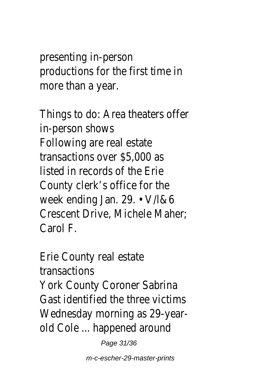presenting in-person productions for the first time in more than a year.

Things to do: Area theaters offer in-person shows Following are real estate transactions over \$5,000 as listed in records of the Erie County clerk's office for the week ending Jan. 29. • V/l&6 Crescent Drive, Michele Maher; Carol F.

Erie County real estate transactions York County Coroner Sabrina Gast identified the three victims Wednesday morning as 29-yearold Cole ... happened around

Page 31/36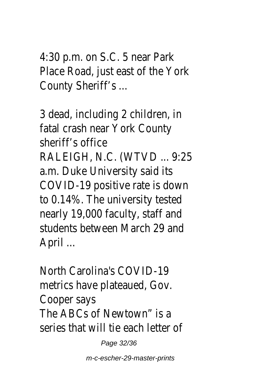4:30 p.m. on S.C. 5 near Park Place Road, just east of the York County Sheriff's ...

3 dead, including 2 children, in fatal crash near York County sheriff's office RALEIGH, N.C. (WTVD ... 9:25 a.m. Duke University said its COVID-19 positive rate is down to 0.14%. The university tested nearly 19,000 faculty, staff and students between March 29 and April ...

North Carolina's COVID-19 metrics have plateaued, Gov. Cooper says The ABCs of Newtown" is a series that will tie each letter of

Page 32/36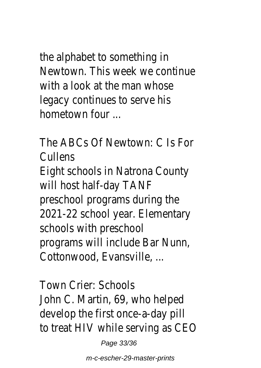the alphabet to something in Newtown. This week we continue with a look at the man whose legacy continues to serve his hometown four ...

The ABCs Of Newtown: C Is For **Cullens** Eight schools in Natrona County will host half-day TANF preschool programs during the 2021-22 school year. Elementary schools with preschool programs will include Bar Nunn, Cottonwood, Evansville, ...

Town Crier: Schools John C. Martin, 69, who helped develop the first once-a-day pill to treat HIV while serving as CEO

Page 33/36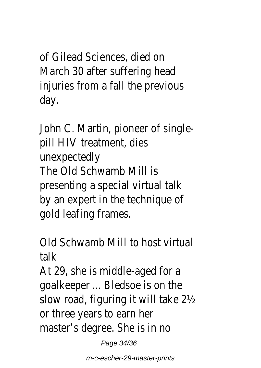of Gilead Sciences, died on March 30 after suffering head injuries from a fall the previous day.

John C. Martin, pioneer of singlepill HIV treatment, dies unexpectedly The Old Schwamb Mill is presenting a special virtual talk by an expert in the technique of gold leafing frames.

Old Schwamb Mill to host virtual talk

At 29, she is middle-aged for a goalkeeper ... Bledsoe is on the slow road, figuring it will take 2½ or three years to earn her master's degree. She is in no

Page 34/36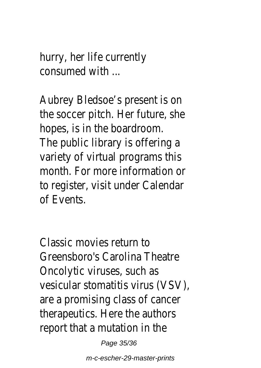hurry, her life currently consumed with ...

Aubrey Bledsoe's present is on the soccer pitch. Her future, she hopes, is in the boardroom. The public library is offering a variety of virtual programs this month. For more information or to register, visit under Calendar of Events.

Classic movies return to Greensboro's Carolina Theatre Oncolytic viruses, such as vesicular stomatitis virus (VSV), are a promising class of cancer therapeutics. Here the authors report that a mutation in the

Page 35/36